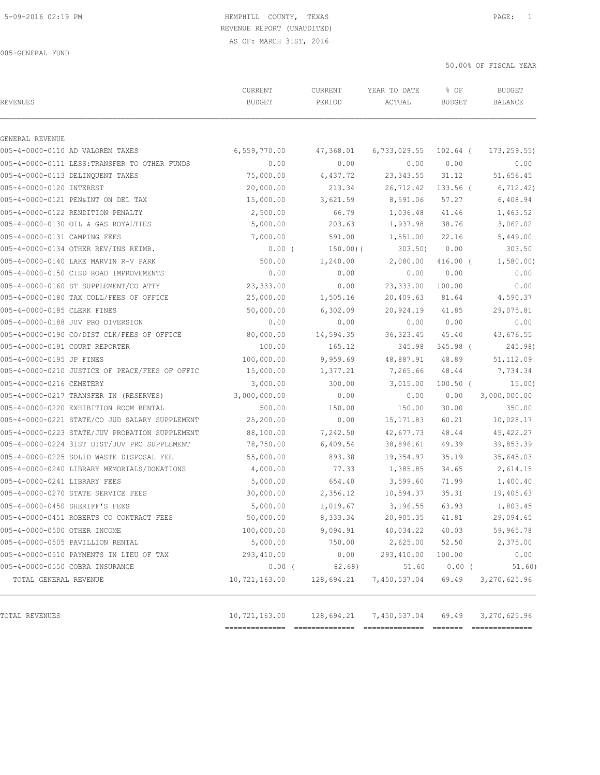### 5-09-2016 02:19 PM HEMPHILL COUNTY, TEXAS PAGE: 1 REVENUE REPORT (UNAUDITED)

50.00% OF FISCAL YEAR

| <b>REVENUES</b>                |                                                | CURRENT<br><b>BUDGET</b> | CURRENT<br>PERIOD | YEAR TO DATE<br>ACTUAL  | % OF<br><b>BUDGET</b> | <b>BUDGET</b><br><b>BALANCE</b> |
|--------------------------------|------------------------------------------------|--------------------------|-------------------|-------------------------|-----------------------|---------------------------------|
| GENERAL REVENUE                |                                                |                          |                   |                         |                       |                                 |
|                                | 005-4-0000-0110 AD VALOREM TAXES               | 6,559,770.00             | 47,368.01         | $6,733,029.55$ 102.64 ( |                       | 173, 259.55                     |
|                                | 005-4-0000-0111 LESS: TRANSFER TO OTHER FUNDS  | 0.00                     | 0.00              | 0.00                    | 0.00                  | 0.00                            |
|                                | 005-4-0000-0113 DELINQUENT TAXES               | 75,000.00                | 4,437.72          | 23, 343.55 31.12        |                       | 51,656.45                       |
| 005-4-0000-0120 INTEREST       |                                                | 20,000.00                | 213.34            | 26,712.42               | $133.56$ (            | 6, 712.42)                      |
|                                | 005-4-0000-0121 PEN&INT ON DEL TAX             | 15,000.00                | 3,621.59          | 8,591.06                | 57.27                 | 6,408.94                        |
|                                | 005-4-0000-0122 RENDITION PENALTY              | 2,500.00                 | 66.79             | 1,036.48                | 41.46                 | 1,463.52                        |
|                                | 005-4-0000-0130 OIL & GAS ROYALTIES            | 5,000.00                 | 203.63            | 1,937.98                | 38.76                 | 3,062.02                        |
| 005-4-0000-0131 CAMPING FEES   |                                                | 7,000.00                 | 591.00            | 1,551.00                | 22.16                 | 5,449.00                        |
|                                | 005-4-0000-0134 OTHER REV/INS REIMB.           | $0.00$ (                 | 150.00)(          | $303.50$ )              | 0.00                  | 303.50                          |
|                                | 005-4-0000-0140 LAKE MARVIN R-V PARK           | 500.00                   | 1,240.00          | 2,080.00                | $416.00$ (            | 1,580.00                        |
|                                | 005-4-0000-0150 CISD ROAD IMPROVEMENTS         | 0.00                     | 0.00              | 0.00                    | 0.00                  | 0.00                            |
|                                | 005-4-0000-0160 ST SUPPLEMENT/CO ATTY          | 23,333.00                | 0.00              | 23,333.00               | 100.00                | 0.00                            |
|                                | 005-4-0000-0180 TAX COLL/FEES OF OFFICE        | 25,000.00                | 1,505.16          | 20,409.63               | 81.64                 | 4,590.37                        |
| 005-4-0000-0185 CLERK FINES    |                                                | 50,000.00                | 6,302.09          | 20,924.19               | 41.85                 | 29,075.81                       |
|                                | 005-4-0000-0188 JUV PRO DIVERSION              | 0.00                     | 0.00              | 0.00                    | 0.00                  | 0.00                            |
|                                | 005-4-0000-0190 CO/DIST CLK/FEES OF OFFICE     | 80,000.00                | 14,594.35         | 36, 323.45              | 45.40                 | 43,676.55                       |
| 005-4-0000-0191 COURT REPORTER |                                                | 100.00                   | 165.12            | 345.98                  | $345.98$ (            | 245.98)                         |
| 005-4-0000-0195 JP FINES       |                                                | 100,000.00               | 9,959.69          | 48,887.91 48.89         |                       | 51, 112.09                      |
|                                | 005-4-0000-0210 JUSTICE OF PEACE/FEES OF OFFIC | 15,000.00                | 1,377.21          | 7,265.66                | 48.44                 | 7,734.34                        |
| 005-4-0000-0216 CEMETERY       |                                                | 3,000.00                 | 300.00            | 3,015.00                | $100.50$ (            | 15.00)                          |
|                                | 005-4-0000-0217 TRANSFER IN (RESERVES)         | 3,000,000.00             | 0.00              | 0.00                    | 0.00                  | 3,000,000.00                    |
|                                | 005-4-0000-0220 EXHIBITION ROOM RENTAL         | 500.00                   | 150.00            | 150.00                  | 30.00                 | 350.00                          |
|                                | 005-4-0000-0221 STATE/CO JUD SALARY SUPPLEMENT | 25,200.00                | 0.00              | 15,171.83               | 60.21                 | 10,028.17                       |
|                                | 005-4-0000-0223 STATE/JUV PROBATION SUPPLEMENT | 88,100.00                | 7,242.50          | 42,677.73               | 48.44                 | 45, 422.27                      |
|                                | 005-4-0000-0224 31ST DIST/JUV PRO SUPPLEMENT   | 78,750.00                | 6,409.54          | 38,896.61               | 49.39                 | 39,853.39                       |
|                                | 005-4-0000-0225 SOLID WASTE DISPOSAL FEE       | 55,000.00                | 893.38            | 19,354.97               | 35.19                 | 35,645.03                       |
|                                | 005-4-0000-0240 LIBRARY MEMORIALS/DONATIONS    | 4,000.00                 | 77.33             | 1,385.85                | 34.65                 | 2,614.15                        |
| 005-4-0000-0241 LIBRARY FEES   |                                                | 5,000.00                 | 654.40            | 3,599.60                | 71.99                 | 1,400.40                        |
|                                | 005-4-0000-0270 STATE SERVICE FEES             | 30,000.00                | 2,356.12          | 10,594.37               | 35.31                 | 19,405.63                       |
| 005-4-0000-0450 SHERIFF'S FEES |                                                | 5,000.00                 | 1,019.67          | 3,196.55                | 63.93                 | 1,803.45                        |
|                                | 005-4-0000-0451 ROBERTS CO CONTRACT FEES       | 50,000.00                | 8,333.34          | 20,905.35 41.81         |                       | 29,094.65                       |
| 005-4-0000-0500 OTHER INCOME   |                                                | 100,000.00               | 9,094.91          | 40,034.22               | 40.03                 | 59,965.78                       |
|                                | 005-4-0000-0505 PAVILLION RENTAL               | 5,000.00                 | 750.00            | 2,625.00                | 52.50                 | 2,375.00                        |
|                                | 005-4-0000-0510 PAYMENTS IN LIEU OF TAX        | 293,410.00               | 0.00              | 293,410.00              | 100.00                | 0.00                            |
|                                | 005-4-0000-0550 COBRA INSURANCE                | $0.00$ (                 | 82.68)            | 51.60                   | $0.00$ (              | 51.60)                          |
| TOTAL GENERAL REVENUE          |                                                | 10,721,163.00            | 128,694.21        | 7,450,537.04            | 69.49                 | 3,270,625.96                    |
| TOTAL REVENUES                 |                                                | 10,721,163.00            | 128,694.21        | 7,450,537.04            | 69.49                 | 3,270,625.96                    |

============== ============== ============== ======= ==============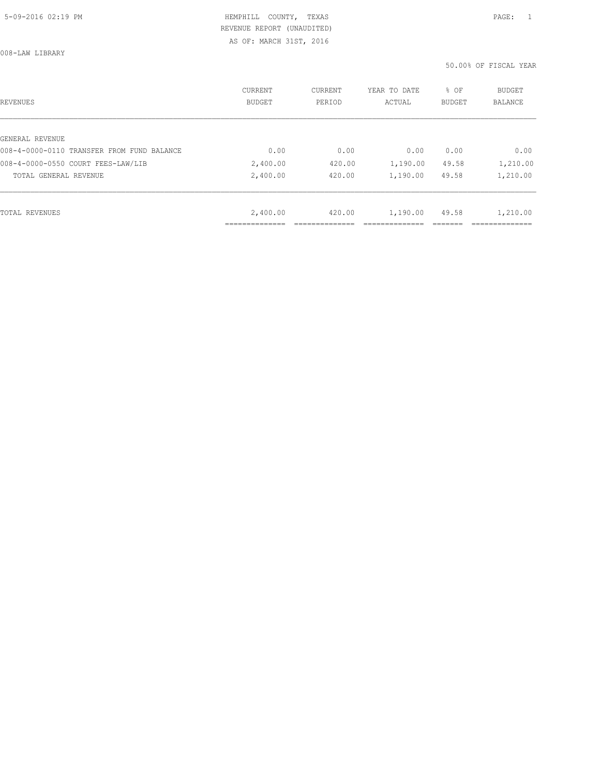008-LAW LIBRARY

| REVENUES                                   | CURRENT<br><b>BUDGET</b> | CURRENT<br>PERIOD | YEAR TO DATE<br>ACTUAL | % OF<br>BUDGET | BUDGET<br>BALANCE |
|--------------------------------------------|--------------------------|-------------------|------------------------|----------------|-------------------|
|                                            |                          |                   |                        |                |                   |
| GENERAL REVENUE                            |                          |                   |                        |                |                   |
| 008-4-0000-0110 TRANSFER FROM FUND BALANCE | 0.00                     | 0.00              | 0.00                   | 0.00           | 0.00              |
| 008-4-0000-0550 COURT FEES-LAW/LIB         | 2,400.00                 | 420.00            | 1,190.00               | 49.58          | 1,210.00          |
| TOTAL GENERAL REVENUE                      | 2,400.00                 | 420.00            | 1,190.00               | 49.58          | 1,210.00          |
|                                            |                          |                   |                        |                |                   |
| TOTAL REVENUES                             | 2,400.00                 | 420.00            | 1,190.00               | 49.58          | 1,210.00          |
|                                            | _________                |                   |                        |                |                   |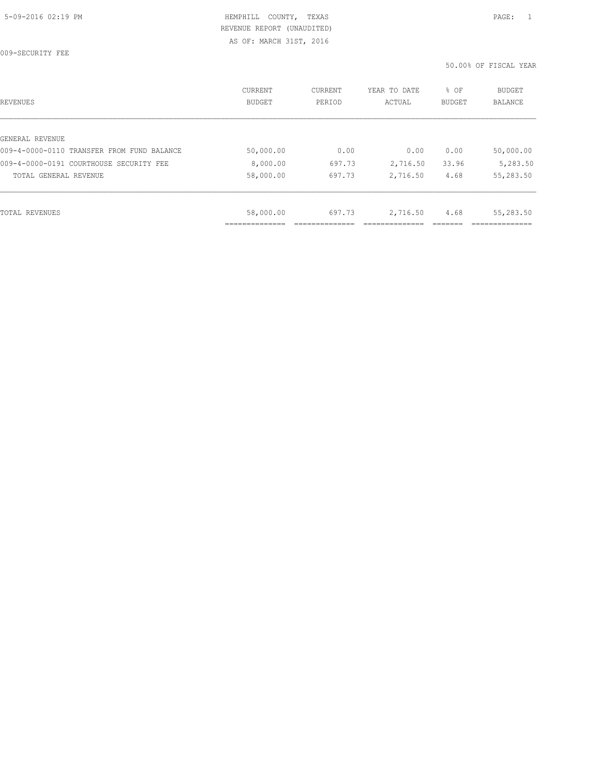009-SECURITY FEE

| REVENUES                                   | CURRENT<br><b>BUDGET</b> | CURRENT<br>PERIOD | YEAR TO DATE<br>ACTUAL | % OF<br>BUDGET | BUDGET<br><b>BALANCE</b> |
|--------------------------------------------|--------------------------|-------------------|------------------------|----------------|--------------------------|
|                                            |                          |                   |                        |                |                          |
| GENERAL REVENUE                            |                          |                   |                        |                |                          |
| 009-4-0000-0110 TRANSFER FROM FUND BALANCE | 50,000.00                | 0.00              | 0.00                   | 0.00           | 50,000.00                |
| 009-4-0000-0191 COURTHOUSE SECURITY FEE    | 8,000.00                 | 697.73            | 2,716.50               | 33.96          | 5,283.50                 |
| TOTAL GENERAL REVENUE                      | 58,000.00                | 697.73            | 2,716.50               | 4.68           | 55,283.50                |
|                                            |                          |                   |                        |                |                          |
| TOTAL REVENUES                             | 58,000.00                | 697.73            | 2,716.50               | 4.68           | 55,283.50                |
|                                            |                          |                   |                        |                |                          |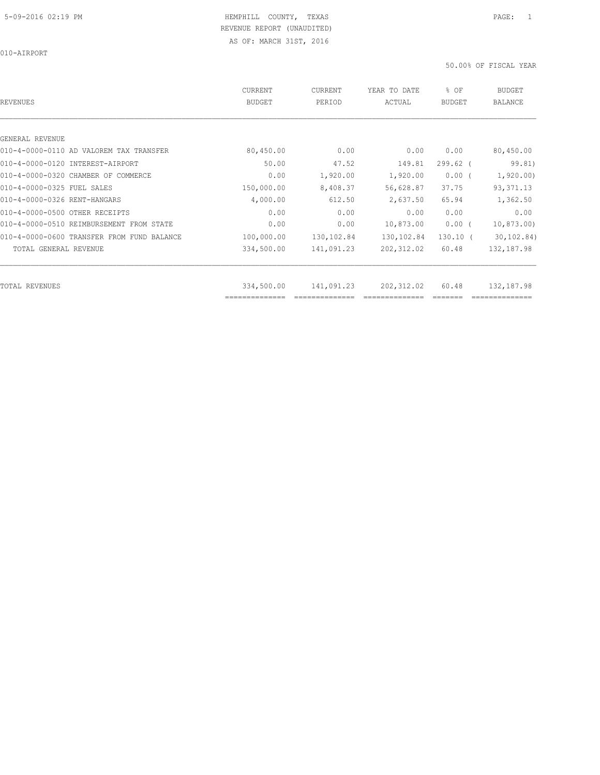010-AIRPORT

| REVENUES                                   | CURRENT<br><b>BUDGET</b> | CURRENT<br>PERIOD | YEAR TO DATE<br>ACTUAL | % OF<br><b>BUDGET</b> | <b>BUDGET</b><br><b>BALANCE</b> |
|--------------------------------------------|--------------------------|-------------------|------------------------|-----------------------|---------------------------------|
|                                            |                          |                   |                        |                       |                                 |
| GENERAL REVENUE                            |                          |                   |                        |                       |                                 |
| 010-4-0000-0110 AD VALOREM TAX TRANSFER    | 80,450.00                | 0.00              | 0.00                   | 0.00                  | 80,450.00                       |
| 010-4-0000-0120 INTEREST-AIRPORT           | 50.00                    | 47.52             | 149.81                 | $299.62$ (            | 99.81)                          |
| 010-4-0000-0320 CHAMBER OF COMMERCE        | 0.00                     | 1,920.00          | 1,920.00               | $0.00$ (              | 1,920.00                        |
| 010-4-0000-0325 FUEL SALES                 | 150,000.00               | 8,408.37          | 56,628.87              | 37.75                 | 93, 371.13                      |
| 010-4-0000-0326 RENT-HANGARS               | 4,000.00                 | 612.50            | 2,637.50               | 65.94                 | 1,362.50                        |
| 010-4-0000-0500 OTHER RECEIPTS             | 0.00                     | 0.00              | 0.00                   | 0.00                  | 0.00                            |
| 010-4-0000-0510 REIMBURSEMENT FROM STATE   | 0.00                     | 0.00              | 10,873.00              | $0.00$ (              | 10,873.00                       |
| 010-4-0000-0600 TRANSFER FROM FUND BALANCE | 100,000.00               | 130,102.84        | 130,102.84             | $130.10$ (            | 30, 102.84)                     |
| TOTAL GENERAL REVENUE                      | 334,500.00               | 141,091.23        | 202, 312.02            | 60.48                 | 132,187.98                      |
| TOTAL REVENUES                             | 334,500.00               | 141,091.23        | 202, 312.02            | 60.48                 | 132,187.98                      |
|                                            | ==============           |                   |                        |                       |                                 |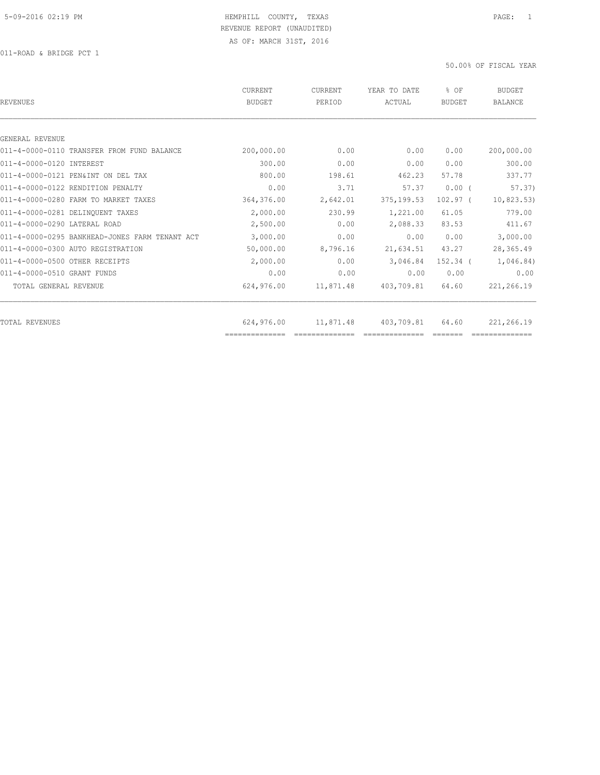| REVENUES                                       | CURRENT<br><b>BUDGET</b> | <b>CURRENT</b><br>PERIOD | YEAR TO DATE<br>ACTUAL | % OF<br>BUDGET | <b>BUDGET</b><br><b>BALANCE</b> |
|------------------------------------------------|--------------------------|--------------------------|------------------------|----------------|---------------------------------|
|                                                |                          |                          |                        |                |                                 |
| GENERAL REVENUE                                |                          |                          |                        |                |                                 |
| 011-4-0000-0110 TRANSFER FROM FUND BALANCE     | 200,000.00               | 0.00                     | 0.00                   | 0.00           | 200,000.00                      |
| 011-4-0000-0120 INTEREST                       | 300.00                   | 0.00                     | 0.00                   | 0.00           | 300.00                          |
| 011-4-0000-0121 PEN&INT ON DEL TAX             | 800.00                   | 198.61                   | 462.23                 | 57.78          | 337.77                          |
| 011-4-0000-0122 RENDITION PENALTY              | 0.00                     | 3.71                     | 57.37                  | 0.00(          | 57.37)                          |
| 011-4-0000-0280 FARM TO MARKET TAXES           | 364,376.00               | 2,642.01                 | 375, 199.53            | $102.97$ (     | 10,823.53)                      |
| 011-4-0000-0281 DELINQUENT TAXES               | 2,000.00                 | 230.99                   | 1,221.00               | 61.05          | 779.00                          |
| 011-4-0000-0290 LATERAL ROAD                   | 2,500.00                 | 0.00                     | 2,088.33               | 83.53          | 411.67                          |
| 011-4-0000-0295 BANKHEAD-JONES FARM TENANT ACT | 3,000.00                 | 0.00                     | 0.00                   | 0.00           | 3,000.00                        |
| 011-4-0000-0300 AUTO REGISTRATION              | 50,000.00                | 8,796.16                 | 21,634.51              | 43.27          | 28,365.49                       |
| 011-4-0000-0500 OTHER RECEIPTS                 | 2,000.00                 | 0.00                     | 3,046.84               | $152.34$ $($   | 1,046.84)                       |
| 011-4-0000-0510 GRANT FUNDS                    | 0.00                     | 0.00                     | 0.00                   | 0.00           | 0.00                            |
| TOTAL GENERAL REVENUE                          | 624,976.00               | 11,871.48                | 403,709.81             | 64.60          | 221,266.19                      |
|                                                |                          |                          |                        |                |                                 |
| TOTAL REVENUES                                 | 624,976.00               | 11,871.48                | 403,709.81             | 64.60          | 221,266.19                      |
|                                                | ==============           |                          |                        |                |                                 |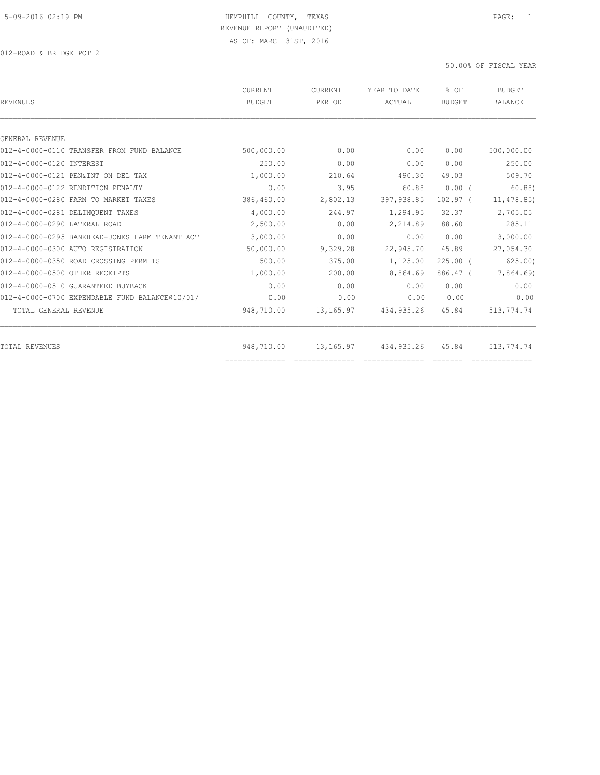| 0.00<br>0.00<br>210.64<br>3.95<br>2,802.13<br>244.97 | 0.00<br>0.00<br>490.30<br>60.88<br>397,938.85<br>1,294.95 | 0.00<br>0.00<br>49.03<br>$0.00$ (<br>$102.97$ (<br>32.37 | 500,000.00<br>250.00<br>509.70<br>60.88<br>11,478.85)<br>2,705.05 |
|------------------------------------------------------|-----------------------------------------------------------|----------------------------------------------------------|-------------------------------------------------------------------|
|                                                      |                                                           |                                                          |                                                                   |
|                                                      |                                                           |                                                          |                                                                   |
|                                                      |                                                           |                                                          |                                                                   |
|                                                      |                                                           |                                                          |                                                                   |
|                                                      |                                                           |                                                          |                                                                   |
|                                                      |                                                           |                                                          |                                                                   |
|                                                      |                                                           |                                                          |                                                                   |
|                                                      |                                                           |                                                          |                                                                   |
| 0.00                                                 | 2,214.89                                                  | 88.60                                                    | 285.11                                                            |
| 0.00                                                 | 0.00                                                      | 0.00                                                     | 3,000.00                                                          |
| 9,329.28                                             | 22,945.70                                                 | 45.89                                                    | 27,054.30                                                         |
| 375.00                                               | 1,125.00                                                  | $225.00$ $($                                             | 625.00                                                            |
| 200.00                                               | 8,864.69                                                  | 886.47 (                                                 | 7,864.69)                                                         |
| 0.00                                                 | 0.00                                                      | 0.00                                                     | 0.00                                                              |
| 0.00                                                 | 0.00                                                      | 0.00                                                     | 0.00                                                              |
| 13,165.97                                            | 434,935.26                                                | 45.84                                                    | 513,774.74                                                        |
|                                                      |                                                           |                                                          | 513,774.74                                                        |
|                                                      |                                                           | 13,165.97<br>434,935.26                                  | 45.84<br>==============<br>==============                         |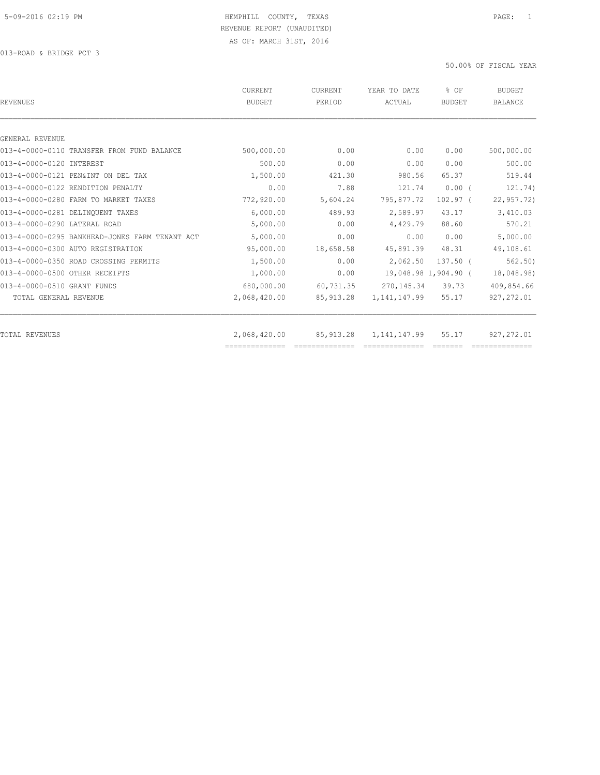| 0.00<br>0.00<br>980.56<br>121.74<br>795,877.72<br>2,589.97 | 0.00<br>0.00<br>65.37<br>$0.00$ (<br>$102.97$ (<br>43.17 | 500,000.00<br>500.00<br>519.44<br>121.74)<br>22, 957.72<br>3,410.03         |
|------------------------------------------------------------|----------------------------------------------------------|-----------------------------------------------------------------------------|
|                                                            |                                                          |                                                                             |
|                                                            |                                                          |                                                                             |
|                                                            |                                                          |                                                                             |
|                                                            |                                                          |                                                                             |
|                                                            |                                                          |                                                                             |
|                                                            |                                                          |                                                                             |
|                                                            |                                                          |                                                                             |
|                                                            |                                                          |                                                                             |
| 4,429.79                                                   | 88.60                                                    | 570.21                                                                      |
| 0.00                                                       | 0.00                                                     | 5,000.00                                                                    |
| 45,891.39                                                  | 48.31                                                    | 49,108.61                                                                   |
| 2,062.50                                                   | $137.50$ $($                                             | 562.50)                                                                     |
|                                                            |                                                          | 18,048.98)                                                                  |
|                                                            | 39.73                                                    | 409,854.66                                                                  |
|                                                            | 55.17                                                    | 927, 272.01                                                                 |
|                                                            |                                                          | 927, 272.01                                                                 |
|                                                            |                                                          | 19,048.98 1,904.90 (<br>270,145.34<br>1,141,147.99<br>1,141,147.99<br>55.17 |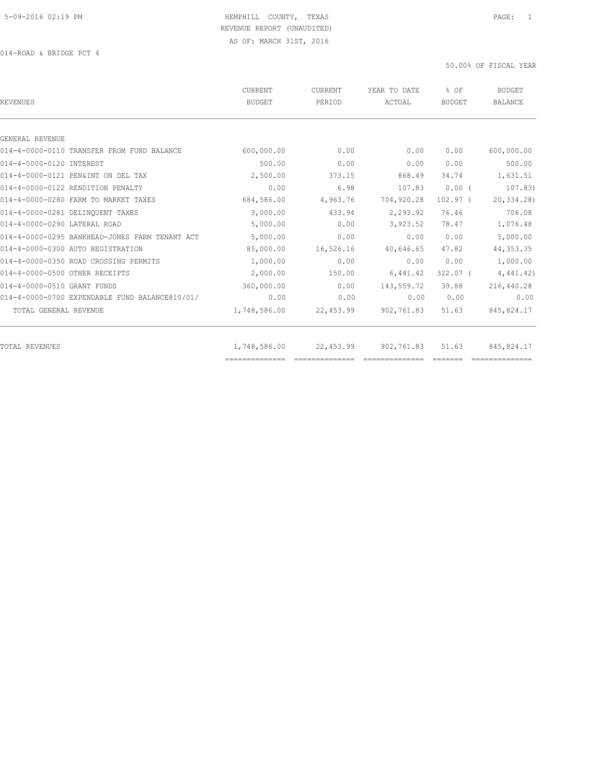| <b>REVENUES</b>                                | CURRENT<br><b>BUDGET</b> | <b>CURRENT</b><br>PERIOD | YEAR TO DATE<br>ACTUAL | % OF<br><b>BUDGET</b> | BUDGET<br><b>BALANCE</b> |
|------------------------------------------------|--------------------------|--------------------------|------------------------|-----------------------|--------------------------|
|                                                |                          |                          |                        |                       |                          |
| GENERAL REVENUE                                |                          |                          |                        |                       |                          |
| 014-4-0000-0110 TRANSFER FROM FUND BALANCE     | 600,000.00               | 0.00                     | 0.00                   | 0.00                  | 600,000.00               |
| 014-4-0000-0120 INTEREST                       | 500.00                   | 0.00                     | 0.00                   | 0.00                  | 500.00                   |
| 014-4-0000-0121 PEN&INT ON DEL TAX             | 2,500.00                 | 373.15                   | 868.49                 | 34.74                 | 1,631.51                 |
| 014-4-0000-0122 RENDITION PENALTY              | 0.00                     | 6.98                     | 107.83                 | 0.00(                 | 107.83)                  |
| 014-4-0000-0280 FARM TO MARKET TAXES           | 684,586.00               | 4,963.76                 | 704,920.28             | $102.97$ (            | 20,334.28)               |
| 014-4-0000-0281 DELINQUENT TAXES               | 3,000.00                 | 433.94                   | 2,293.92               | 76.46                 | 706.08                   |
| 014-4-0000-0290 LATERAL ROAD                   | 5,000.00                 | 0.00                     | 3,923.52               | 78.47                 | 1,076.48                 |
| 014-4-0000-0295 BANKHEAD-JONES FARM TENANT ACT | 5,000.00                 | 0.00                     | 0.00                   | 0.00                  | 5,000.00                 |
| 014-4-0000-0300 AUTO REGISTRATION              | 85,000.00                | 16,526.16                | 40,646.65              | 47.82                 | 44, 353.35               |
| 014-4-0000-0350 ROAD CROSSING PERMITS          | 1,000.00                 | 0.00                     | 0.00                   | 0.00                  | 1,000.00                 |
| 014-4-0000-0500 OTHER RECEIPTS                 | 2,000.00                 | 150.00                   | 6,441.42               | $322.07$ (            | 4,441.42)                |
| 014-4-0000-0510 GRANT FUNDS                    | 360,000.00               | 0.00                     | 143,559.72             | 39.88                 | 216,440.28               |
| 014-4-0000-0700 EXPENDABLE FUND BALANCE@10/01/ | 0.00                     | 0.00                     | 0.00                   | 0.00                  | 0.00                     |
| TOTAL GENERAL REVENUE                          | 1,748,586.00             | 22,453.99                | 902,761.83             | 51.63                 | 845, 824.17              |
| <b>TOTAL REVENUES</b>                          | 1,748,586.00             | 22,453.99                | 902,761.83             | 51.63                 | 845,824.17               |
|                                                | ==============           |                          |                        |                       |                          |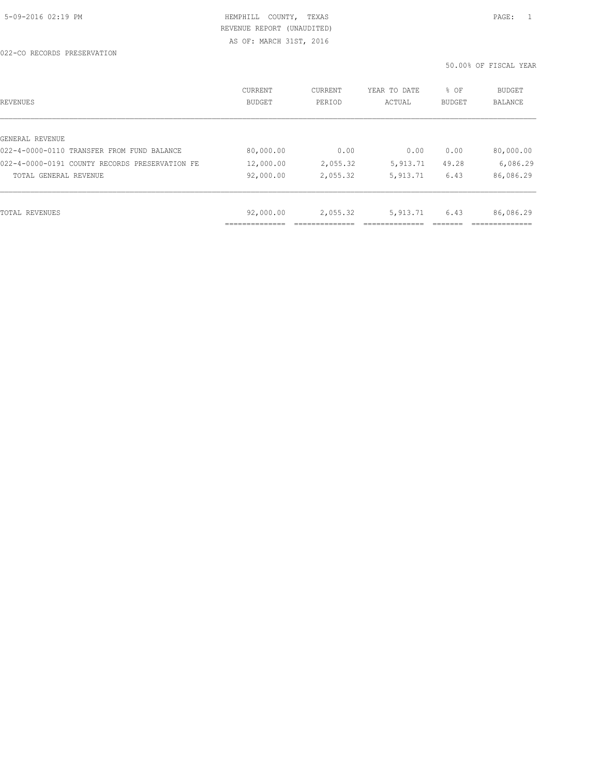| REVENUES                                       | CURRENT<br><b>BUDGET</b> | CURRENT<br>PERIOD | YEAR TO DATE<br>ACTUAL | % OF<br>BUDGET | BUDGET<br>BALANCE |
|------------------------------------------------|--------------------------|-------------------|------------------------|----------------|-------------------|
|                                                |                          |                   |                        |                |                   |
| GENERAL REVENUE                                |                          |                   |                        |                |                   |
| 022-4-0000-0110 TRANSFER FROM FUND BALANCE     | 80,000.00                | 0.00              | 0.00                   | 0.00           | 80,000.00         |
| 022-4-0000-0191 COUNTY RECORDS PRESERVATION FE | 12,000.00                | 2,055.32          | 5,913.71               | 49.28          | 6,086.29          |
| TOTAL GENERAL REVENUE                          | 92,000.00                | 2,055.32          | 5, 913.71              | 6.43           | 86,086.29         |
|                                                |                          |                   |                        |                |                   |
| TOTAL REVENUES                                 | 92,000.00                | 2,055.32          | 5, 913.71              | 6.43           | 86,086.29         |
|                                                |                          |                   |                        |                |                   |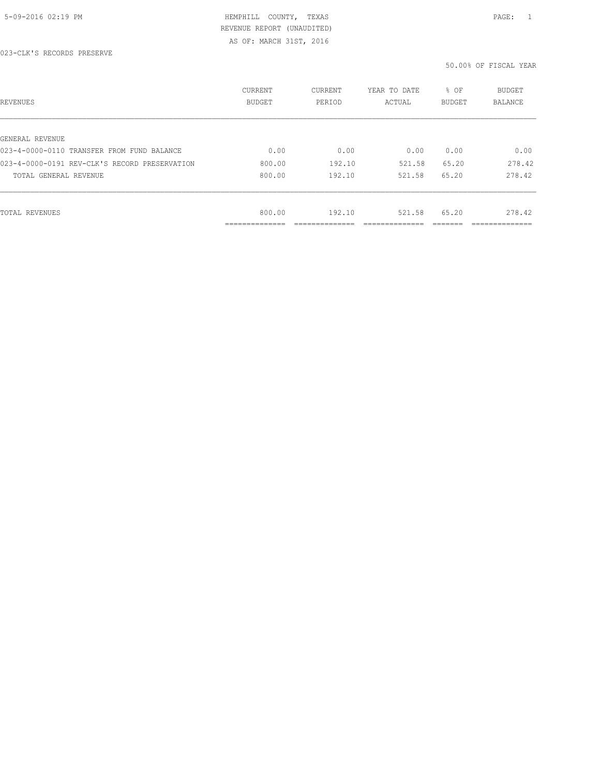| REVENUES                                      | CURRENT<br><b>BUDGET</b>    | CURRENT<br>PERIOD | YEAR TO DATE<br>ACTUAL | % OF<br>BUDGET | BUDGET<br>BALANCE |
|-----------------------------------------------|-----------------------------|-------------------|------------------------|----------------|-------------------|
|                                               |                             |                   |                        |                |                   |
| GENERAL REVENUE                               |                             |                   |                        |                |                   |
| 023-4-0000-0110 TRANSFER FROM FUND BALANCE    | 0.00                        | 0.00              | 0.00                   | 0.00           | 0.00              |
| 023-4-0000-0191 REV-CLK'S RECORD PRESERVATION | 800.00                      | 192.10            | 521.58                 | 65.20          | 278.42            |
| TOTAL GENERAL REVENUE                         | 800.00                      | 192.10            | 521.58                 | 65.20          | 278.42            |
|                                               |                             |                   |                        |                |                   |
| TOTAL REVENUES                                | 800.00                      | 192.10            | 521.58                 | 65.20          | 278.42            |
|                                               | ------------<br>----------- |                   |                        |                | ----------        |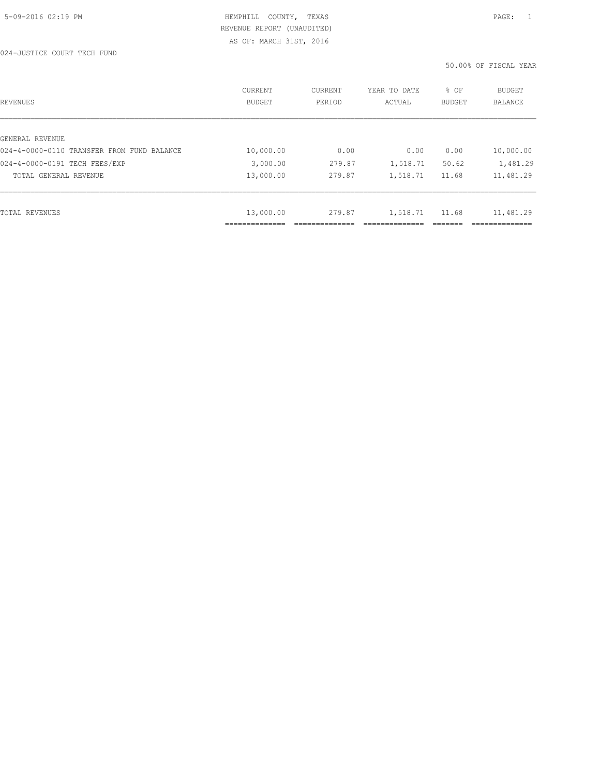| REVENUES                                   | <b>CURRENT</b><br><b>BUDGET</b> | CURRENT<br>PERIOD | YEAR TO DATE<br>ACTUAL | % OF<br><b>BUDGET</b> | BUDGET<br>BALANCE |
|--------------------------------------------|---------------------------------|-------------------|------------------------|-----------------------|-------------------|
|                                            |                                 |                   |                        |                       |                   |
| GENERAL REVENUE                            |                                 |                   |                        |                       |                   |
| 024-4-0000-0110 TRANSFER FROM FUND BALANCE | 10,000.00                       | 0.00              | 0.00                   | 0.00                  | 10,000.00         |
| 024-4-0000-0191 TECH FEES/EXP              | 3,000.00                        | 279.87            | 1,518.71               | 50.62                 | 1,481.29          |
| TOTAL GENERAL REVENUE                      | 13,000.00                       | 279.87            | 1,518.71               | 11.68                 | 11,481.29         |
|                                            |                                 |                   |                        |                       |                   |
| TOTAL REVENUES                             | 13,000.00                       | 279.87            | 1,518.71               | 11.68                 | 11,481.29         |
|                                            |                                 |                   |                        |                       |                   |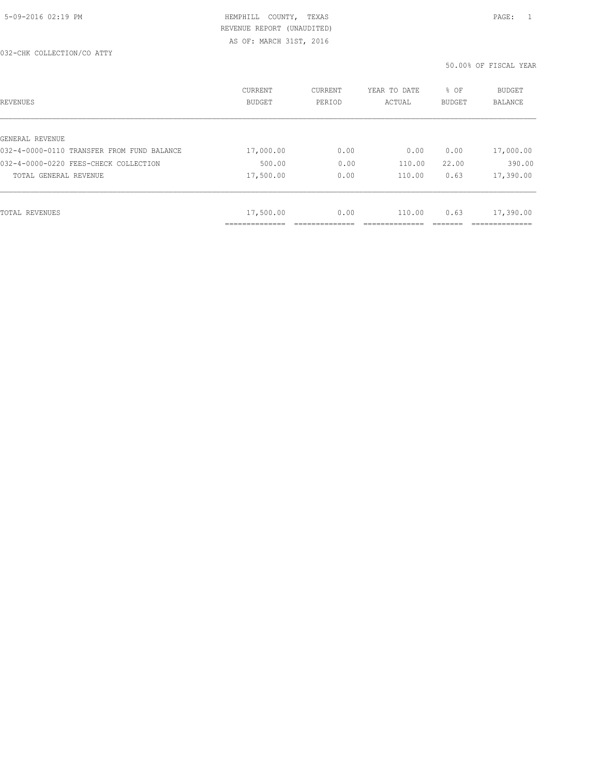| REVENUES                                   | CURRENT<br><b>BUDGET</b> | CURRENT<br>PERIOD | YEAR TO DATE<br>ACTUAL | % OF<br>BUDGET | BUDGET<br>BALANCE |
|--------------------------------------------|--------------------------|-------------------|------------------------|----------------|-------------------|
|                                            |                          |                   |                        |                |                   |
| GENERAL REVENUE                            |                          |                   |                        |                |                   |
| 032-4-0000-0110 TRANSFER FROM FUND BALANCE | 17,000.00                | 0.00              | 0.00                   | 0.00           | 17,000.00         |
| 032-4-0000-0220 FEES-CHECK COLLECTION      | 500.00                   | 0.00              | 110.00                 | 22.00          | 390.00            |
| TOTAL GENERAL REVENUE                      | 17,500.00                | 0.00              | 110.00                 | 0.63           | 17,390.00         |
|                                            |                          |                   |                        |                |                   |
| TOTAL REVENUES                             | 17,500.00                | 0.00              | 110.00                 | 0.63           | 17,390.00         |
|                                            | ----------               |                   |                        |                |                   |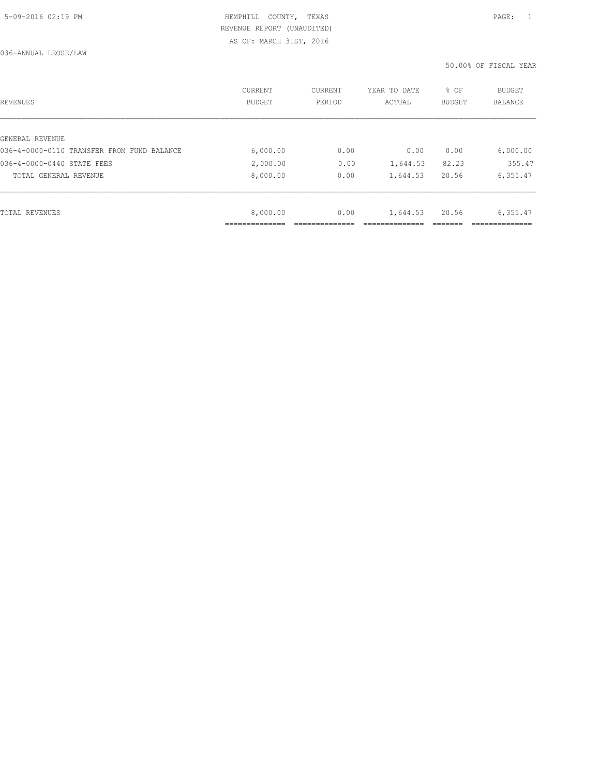| REVENUES                                   | <b>CURRENT</b><br><b>BUDGET</b> | CURRENT<br>PERIOD | YEAR TO DATE<br>ACTUAL | % OF<br><b>BUDGET</b> | <b>BUDGET</b><br>BALANCE |
|--------------------------------------------|---------------------------------|-------------------|------------------------|-----------------------|--------------------------|
|                                            |                                 |                   |                        |                       |                          |
| GENERAL REVENUE                            |                                 |                   |                        |                       |                          |
| 036-4-0000-0110 TRANSFER FROM FUND BALANCE | 6,000.00                        | 0.00              | 0.00                   | 0.00                  | 6,000.00                 |
| 036-4-0000-0440 STATE FEES                 | 2,000.00                        | 0.00              | 1,644.53               | 82.23                 | 355.47                   |
| TOTAL GENERAL REVENUE                      | 8,000.00                        | 0.00              | 1,644.53               | 20.56                 | 6,355.47                 |
|                                            |                                 |                   |                        |                       |                          |
| TOTAL REVENUES                             | 8,000.00                        | 0.00              | 1,644.53               | 20.56                 | 6,355.47                 |
|                                            |                                 |                   |                        |                       |                          |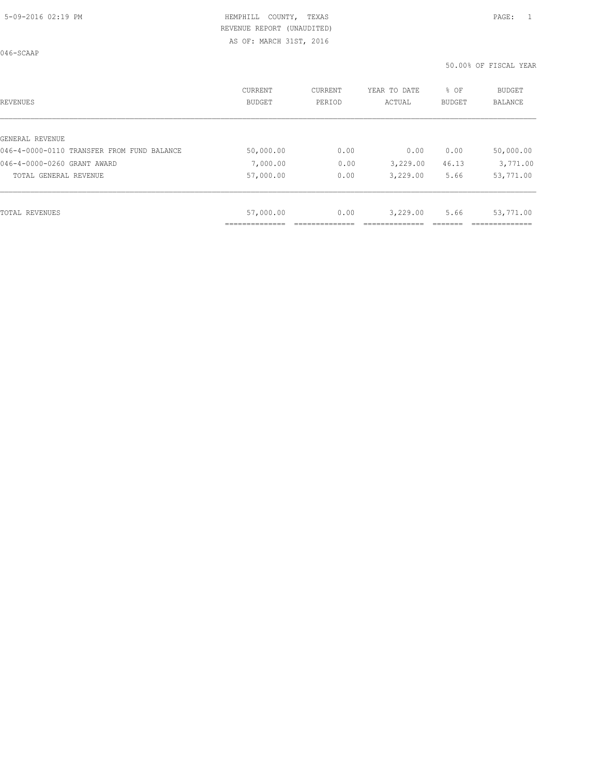046-SCAAP

| REVENUES                                   | CURRENT<br><b>BUDGET</b> | CURRENT<br>PERIOD | YEAR TO DATE<br>ACTUAL | % OF<br>BUDGET | <b>BUDGET</b><br><b>BALANCE</b> |
|--------------------------------------------|--------------------------|-------------------|------------------------|----------------|---------------------------------|
|                                            |                          |                   |                        |                |                                 |
| GENERAL REVENUE                            |                          |                   |                        |                |                                 |
| 046-4-0000-0110 TRANSFER FROM FUND BALANCE | 50,000.00                | 0.00              | 0.00                   | 0.00           | 50,000.00                       |
| 046-4-0000-0260 GRANT AWARD                | 7,000.00                 | 0.00              | 3,229.00               | 46.13          | 3,771.00                        |
| TOTAL GENERAL REVENUE                      | 57,000.00                | 0.00              | 3,229.00               | 5.66           | 53,771.00                       |
|                                            |                          |                   |                        |                |                                 |
| TOTAL REVENUES                             | 57,000.00                | 0.00              | 3,229.00               | 5.66           | 53,771.00                       |
|                                            |                          |                   |                        |                |                                 |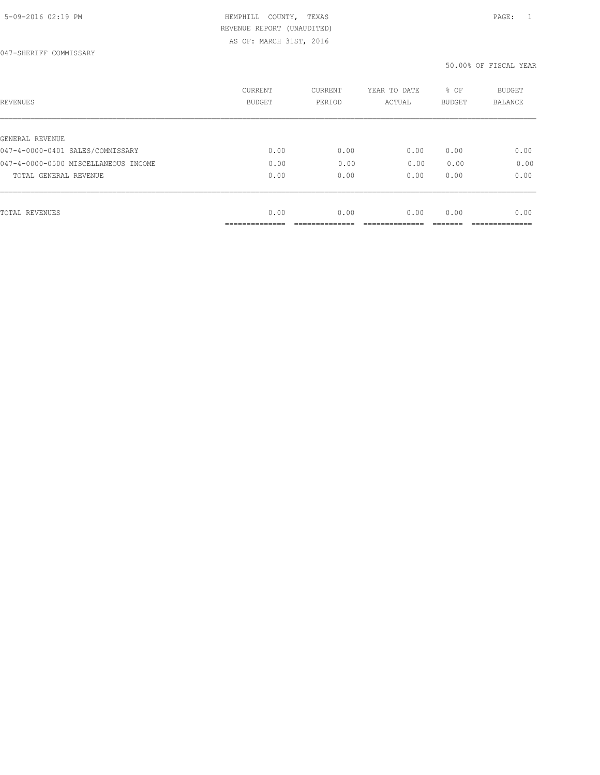047-SHERIFF COMMISSARY

| REVENUES                             | <b>CURRENT</b><br>BUDGET | CURRENT<br>PERIOD | YEAR TO DATE<br>ACTUAL | % OF<br><b>BUDGET</b> | <b>BUDGET</b><br>BALANCE |
|--------------------------------------|--------------------------|-------------------|------------------------|-----------------------|--------------------------|
|                                      |                          |                   |                        |                       |                          |
| GENERAL REVENUE                      |                          |                   |                        |                       |                          |
| 047-4-0000-0401 SALES/COMMISSARY     | 0.00                     | 0.00              | 0.00                   | 0.00                  | 0.00                     |
| 047-4-0000-0500 MISCELLANEOUS INCOME | 0.00                     | 0.00              | 0.00                   | 0.00                  | 0.00                     |
| TOTAL GENERAL REVENUE                | 0.00                     | 0.00              | 0.00                   | 0.00                  | 0.00                     |
|                                      |                          |                   |                        |                       |                          |
| TOTAL REVENUES                       | 0.00                     | 0.00              | 0.00                   | 0.00                  | 0.00                     |
|                                      | __________               |                   |                        |                       |                          |